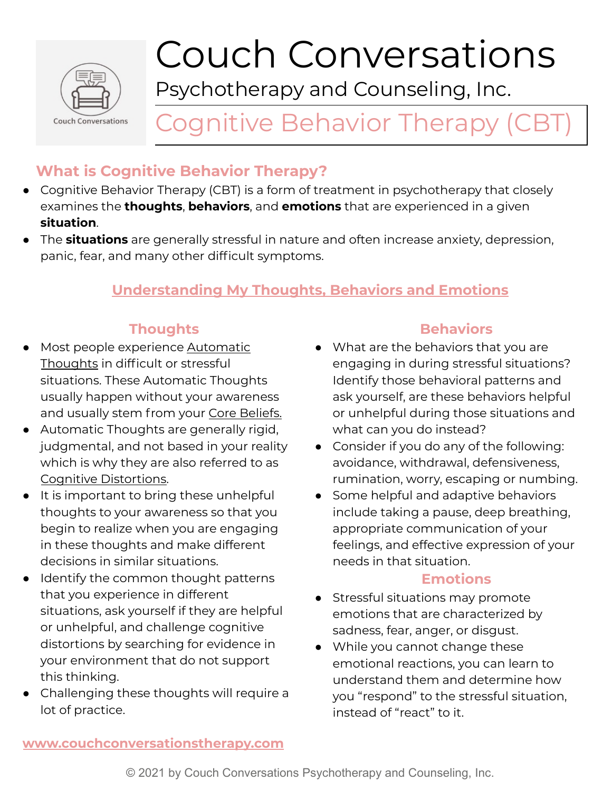

# Couch Conversations

Psychotherapy and Counseling, Inc.

# Cognitive Behavior Therapy (CBT)

# **What is Cognitive Behavior Therapy?**

- Cognitive Behavior Therapy (CBT) is a form of treatment in psychotherapy that closely examines the **thoughts**, **behaviors**, and **emotions** that are experienced in a given **situation**.
- The **situations** are generally stressful in nature and often increase anxiety, depression, panic, fear, and many other difficult symptoms.

## **Understanding My Thoughts, Behaviors and Emotions**

#### **Thoughts**

- **●** Most people experience Automatic Thoughts in difficult or stressful situations. These Automatic Thoughts usually happen without your awareness and usually stem from your Core Beliefs.
- **●** Automatic Thoughts are generally rigid, judgmental, and not based in your reality which is why they are also referred to as Cognitive Distortions.
- It is important to bring these unhelpful thoughts to your awareness so that you begin to realize when you are engaging in these thoughts and make different decisions in similar situations.
- Identify the common thought patterns that you experience in different situations, ask yourself if they are helpful or unhelpful, and challenge cognitive distortions by searching for evidence in your environment that do not support this thinking.
- Challenging these thoughts will require a lot of practice.

### **Behaviors**

- What are the behaviors that you are engaging in during stressful situations? Identify those behavioral patterns and ask yourself, are these behaviors helpful or unhelpful during those situations and what can you do instead?
- Consider if you do any of the following: avoidance, withdrawal, defensiveness, rumination, worry, escaping or numbing.
- Some helpful and adaptive behaviors include taking a pause, deep breathing, appropriate communication of your feelings, and effective expression of your needs in that situation.

#### **Emotions**

- Stressful situations may promote emotions that are characterized by sadness, fear, anger, or disgust.
- While you cannot change these emotional reactions, you can learn to understand them and determine how you "respond" to the stressful situation, instead of "react" to it.

#### **[www.couchconversationstherapy.com](http://www.couchconversationstherapy.com)**